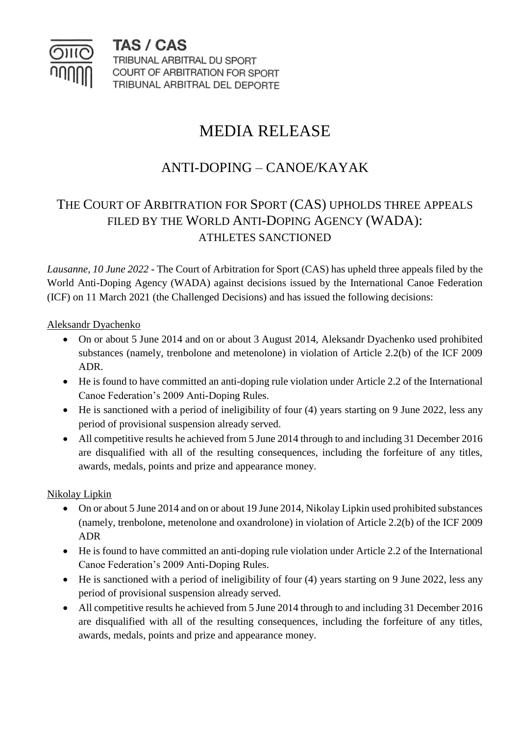

TAS / CAS TRIBUNAL ARBITRAL DU SPORT COURT OF ARBITRATION FOR SPORT TRIBUNAL ARBITRAL DEL DEPORTE

# MEDIA RELEASE

## ANTI-DOPING – CANOE/KAYAK

### THE COURT OF ARBITRATION FOR SPORT (CAS) UPHOLDS THREE APPEALS FILED BY THE WORLD ANTI-DOPING AGENCY (WADA): ATHLETES SANCTIONED

*Lausanne, 10 June 2022 -* The Court of Arbitration for Sport (CAS) has upheld three appeals filed by the World Anti-Doping Agency (WADA) against decisions issued by the International Canoe Federation (ICF) on 11 March 2021 (the Challenged Decisions) and has issued the following decisions:

#### Aleksandr Dyachenko

- On or about 5 June 2014 and on or about 3 August 2014, Aleksandr Dyachenko used prohibited substances (namely, trenbolone and metenolone) in violation of Article 2.2(b) of the ICF 2009 ADR.
- He is found to have committed an anti-doping rule violation under Article 2.2 of the International Canoe Federation's 2009 Anti-Doping Rules.
- He is sanctioned with a period of ineligibility of four (4) years starting on 9 June 2022, less any period of provisional suspension already served.
- All competitive results he achieved from 5 June 2014 through to and including 31 December 2016 are disqualified with all of the resulting consequences, including the forfeiture of any titles, awards, medals, points and prize and appearance money.

#### Nikolay Lipkin

- On or about 5 June 2014 and on or about 19 June 2014, Nikolay Lipkin used prohibited substances (namely, trenbolone, metenolone and oxandrolone) in violation of Article 2.2(b) of the ICF 2009 ADR
- He is found to have committed an anti-doping rule violation under Article 2.2 of the International Canoe Federation's 2009 Anti-Doping Rules.
- He is sanctioned with a period of ineligibility of four (4) years starting on 9 June 2022, less any period of provisional suspension already served.
- All competitive results he achieved from 5 June 2014 through to and including 31 December 2016 are disqualified with all of the resulting consequences, including the forfeiture of any titles, awards, medals, points and prize and appearance money.